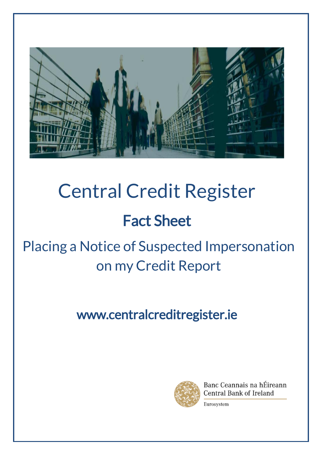

# Central Credit Register

# Fact Sheet

# Placing a Notice of Suspected Impersonation on my Credit Report

## www.centralcreditregister.ie



Banc Ceannais na hÉireann Central Bank of Ireland

Eurosystem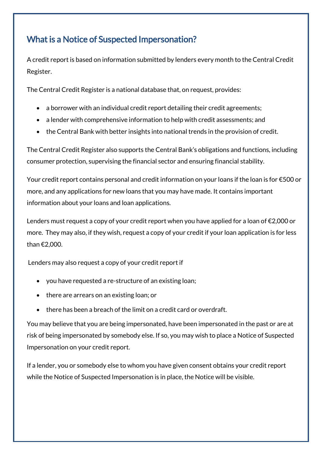#### What is a Notice of Suspected Impersonation?

A credit report is based on information submitted by lenders every month to the Central Credit Register.

The Central Credit Register is a national database that, on request, provides:

- a borrower with an individual credit report detailing their credit agreements;
- a lender with comprehensive information to help with credit assessments; and
- the Central Bank with better insights into national trends in the provision of credit.

The Central Credit Register also supports the Central Bank's obligations and functions, including consumer protection, supervising the financial sector and ensuring financial stability.

Your credit report contains personal and credit information on your loans if the loan is for €500 or more, and any applications for new loans that you may have made. It contains important information about your loans and loan applications.

Lenders must request a copy of your credit report when you have applied for a loan of €2,000 or more. They may also, if they wish, request a copy of your credit if your loan application is for less than €2,000.

Lenders may also request a copy of your credit report if

- you have requested a re-structure of an existing loan;
- there are arrears on an existing loan; or
- there has been a breach of the limit on a credit card or overdraft.

You may believe that you are being impersonated, have been impersonated in the past or are at risk of being impersonated by somebody else. If so, you may wish to place a Notice of Suspected Impersonation on your credit report.

If a lender, you or somebody else to whom you have given consent obtains your credit report while the Notice of Suspected Impersonation is in place, the Notice will be visible.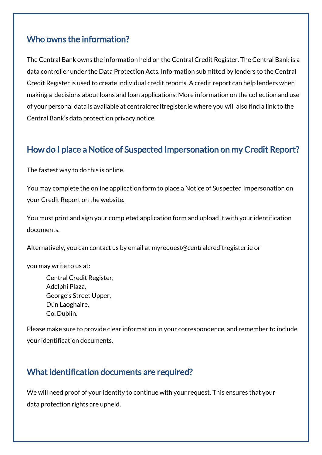#### Who owns the information?

The Central Bank owns the information held on the Central Credit Register. The Central Bank is a data controller under the Data Protection Acts. Information submitted by lenders to the Central Credit Register is used to create individual credit reports. A credit report can help lenders when making a decisions about loans and loan applications. More information on the collection and use of your personal data is available at centralcreditregister.ie where you will also find a link to the Central Bank's data protection privacy notice.

#### How do I place a Notice of Suspected Impersonation on my Credit Report?

The fastest way to do this is online.

You may complete the online application form to place a Notice of Suspected Impersonation on your Credit Report on the website.

You must print and sign your completed application form and upload it with your identification documents.

Alternatively, you can contact us by email at [myrequest@centralcreditregister.ie](mailto:myrequest@centralcreditregister.ie) or

you may write to us at:

Central Credit Register, Adelphi Plaza, George's Street Upper, Dún Laoghaire, Co. Dublin.

Please make sure to provide clear information in your correspondence, and remember to include your identification documents.

#### What identification documents are required?

We will need proof of your identity to continue with your request. This ensures that your data protection rights are upheld.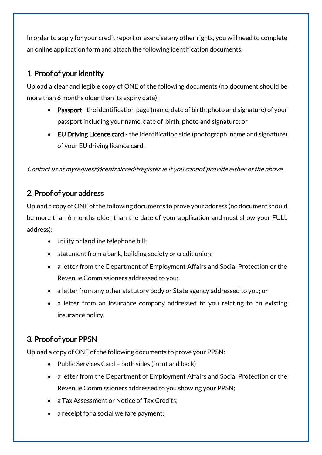In order to apply for your credit report or exercise any other rights, you will need to complete an online application form and attach the following identification documents:

#### 1. Proof of your identity

Upload a clear and legible copy of ONE of the following documents (no document should be more than 6 months older than its expiry date):

- Passport the identification page (name, date of birth, photo and signature) of your passport including your name, date of birth, photo and signature; or
- EU Driving Licence card the identification side (photograph, name and signature) of your EU driving licence card.

Contact us a[t myrequest@centralcreditregister.ie](mailto:myrequest@centralcreditregister.ie) if you cannot provide either of the above

#### 2. Proof of your address

Upload a copy of **ONE** of the following documents to prove your address (no document should be more than 6 months older than the date of your application and must show your FULL address):

- utility or landline telephone bill;
- statement from a bank, building society or credit union;
- a letter from the Department of Employment Affairs and Social Protection or the Revenue Commissioners addressed to you;
- a letter from any other statutory body or State agency addressed to you; or
- a letter from an insurance company addressed to you relating to an existing insurance policy.

#### 3. Proof of your PPSN

Upload a copy of ONE of the following documents to prove your PPSN:

- Public Services Card both sides (front and back)
- a letter from the Department of Employment Affairs and Social Protection or the Revenue Commissioners addressed to you showing your PPSN;
- a Tax Assessment or Notice of Tax Credits;
- a receipt for a social welfare payment;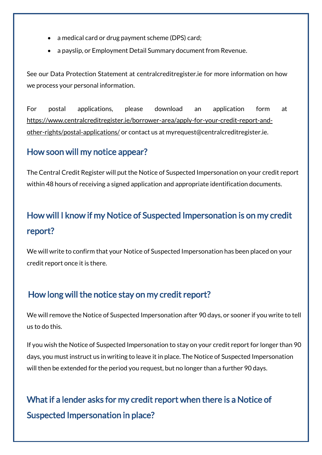- a medical card or drug payment scheme (DPS) card;
- a payslip, or Employment Detail Summary document from Revenue.

See our Data Protection Statement at centralcreditregister.ie for more information on how we process your personal information.

For postal applications, please download an application form at [https://www.centralcreditregister.ie/borrower-area/apply-for-your-credit-report-and](https://www.centralcreditregister.ie/borrower-area/apply-for-your-credit-report-and-other-rights/postal-applications/)[other-rights/postal-applications/](https://www.centralcreditregister.ie/borrower-area/apply-for-your-credit-report-and-other-rights/postal-applications/) or contact us at myrequest@centralcreditregister.ie.

#### How soon will my notice appear?

The Central Credit Register will put the Notice of Suspected Impersonation on your credit report within 48 hours of receiving a signed application and appropriate identification documents.

### How will I know if my Notice of Suspected Impersonation is on my credit report?

We will write to confirm that your Notice of Suspected Impersonation has been placed on your credit report once it is there.

#### How long will the notice stay on my credit report?

We will remove the Notice of Suspected Impersonation after 90 days, or sooner if you write to tell us to do this.

If you wish the Notice of Suspected Impersonation to stay on your credit report for longer than 90 days, you must instruct us in writing to leave it in place. The Notice of Suspected Impersonation will then be extended for the period you request, but no longer than a further 90 days.

### What if a lender asks for my credit report when there is a Notice of Suspected Impersonation in place?